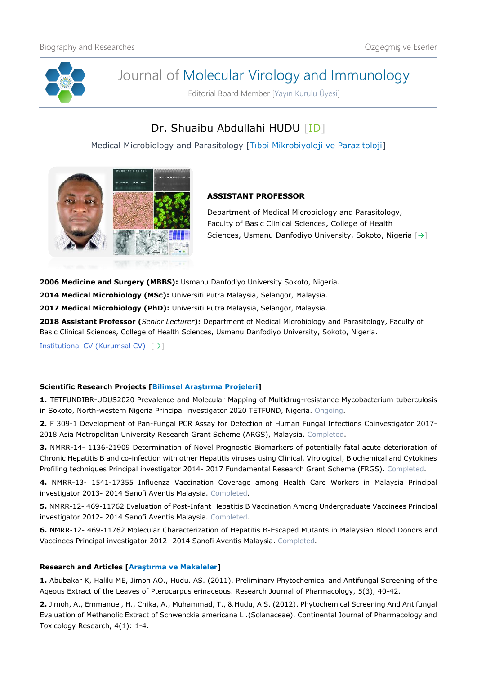

# Journal of Molecular Virology and Immunology

Editorial Board Member [Yayın Kurulu Üyesi]

# Dr. Shuaibu Abdullahi HUDU [\[ID\]](https://orcid.org/0000-0001-5765-4580)

Medical Microbiology and Parasitology [Tıbbi Mikrobiyoloji ve Parazitoloji]



## **ASSISTANT PROFESSOR**

Department of Medical Microbiology and Parasitology, Faculty of Basic Clinical Sciences, College of Health Sciences, Usmanu Danfodiyo University, Sokoto, Nigeria [[→](https://www.udusok.edu.ng/faculty-of-basic-clinical-sciences/medical-microbiology-and-parasitology/)]

**2006 Medicine and Surgery (MBBS):** Usmanu Danfodiyo University Sokoto, Nigeria.

**2014 Medical Microbiology (MSc):** Universiti Putra Malaysia, Selangor, Malaysia.

**2017 Medical Microbiology (PhD):** Universiti Putra Malaysia, Selangor, Malaysia.

**2018 Assistant Professor (***Senior Lecturer***):** Department of Medical Microbiology and Parasitology, Faculty of Basic Clinical Sciences, College of Health Sciences, Usmanu Danfodiyo University, Sokoto, Nigeria.

Institutional CV (Kurumsal CV): [[→](https://www.udusok.edu.ng/staff/hudu-shuaibu-abdullahi/)]

### **Scientific Research Projects [Bilimsel Araştırma Projeleri]**

**1.** TETFUNDIBR-UDUS2020 Prevalence and Molecular Mapping of Multidrug-resistance Mycobacterium tuberculosis in Sokoto, North-western Nigeria Principal investigator 2020 TETFUND, Nigeria. Ongoing.

**2.** F 309-1 Development of Pan-Fungal PCR Assay for Detection of Human Fungal Infections Coinvestigator 2017- 2018 Asia Metropolitan University Research Grant Scheme (ARGS), Malaysia. Completed.

**3.** NMRR-14- 1136-21909 Determination of Novel Prognostic Biomarkers of potentially fatal acute deterioration of Chronic Hepatitis B and co-infection with other Hepatitis viruses using Clinical, Virological, Biochemical and Cytokines Profiling techniques Principal investigator 2014- 2017 Fundamental Research Grant Scheme (FRGS). Completed.

**4.** NMRR-13- 1541-17355 Influenza Vaccination Coverage among Health Care Workers in Malaysia Principal investigator 2013- 2014 Sanofi Aventis Malaysia. Completed.

**5.** NMRR-12- 469-11762 Evaluation of Post-Infant Hepatitis B Vaccination Among Undergraduate Vaccinees Principal investigator 2012- 2014 Sanofi Aventis Malaysia. Completed.

**6.** NMRR-12- 469-11762 Molecular Characterization of Hepatitis B-Escaped Mutants in Malaysian Blood Donors and Vaccinees Principal investigator 2012- 2014 Sanofi Aventis Malaysia. Completed.

### **Research and Articles [Araştırma ve Makaleler]**

**1.** Abubakar K, Halilu ME, Jimoh AO., Hudu. AS. (2011). Preliminary Phytochemical and Antifungal Screening of the Aqeous Extract of the Leaves of Pterocarpus erinaceous. Research Journal of Pharmacology, 5(3), 40-42.

**2.** Jimoh, A., Emmanuel, H., Chika, A., Muhammad, T., & Hudu, A S. (2012). Phytochemical Screening And Antifungal Evaluation of Methanolic Extract of Schwenckia americana L .(Solanaceae). Continental Journal of Pharmacology and Toxicology Research, 4(1): 1-4.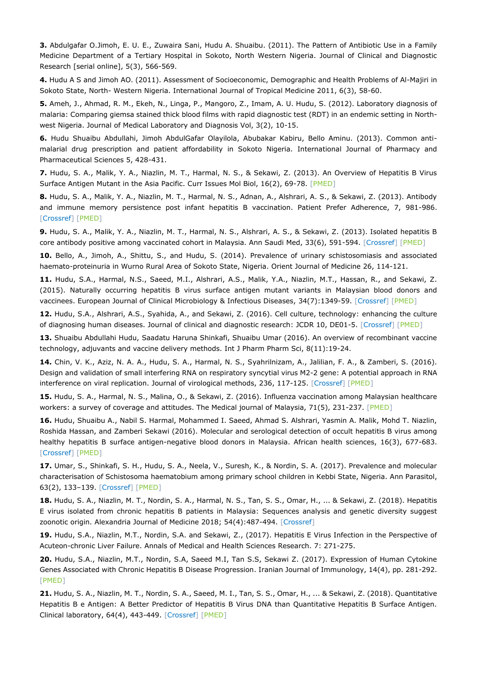**3.** Abdulgafar O.Jimoh, E. U. E., Zuwaira Sani, Hudu A. Shuaibu. (2011). The Pattern of Antibiotic Use in a Family Medicine Department of a Tertiary Hospital in Sokoto, North Western Nigeria. Journal of Clinical and Diagnostic Research [serial online], 5(3), 566-569.

**4.** Hudu A S and Jimoh AO. (2011). Assessment of Socioeconomic, Demographic and Health Problems of Al-Majiri in Sokoto State, North- Western Nigeria. International Journal of Tropical Medicine 2011, 6(3), 58-60.

**5.** Ameh, J., Ahmad, R. M., Ekeh, N., Linga, P., Mangoro, Z., Imam, A. U. Hudu, S. (2012). Laboratory diagnosis of malaria: Comparing giemsa stained thick blood films with rapid diagnostic test (RDT) in an endemic setting in Northwest Nigeria. Journal of Medical Laboratory and Diagnosis Vol, 3(2), 10-15.

**6.** Hudu Shuaibu Abdullahi, Jimoh AbdulGafar Olayilola, Abubakar Kabiru, Bello Aminu. (2013). Common antimalarial drug prescription and patient affordability in Sokoto Nigeria. International Journal of Pharmacy and Pharmaceutical Sciences 5, 428-431.

**7.** Hudu, S. A., Malik, Y. A., Niazlin, M. T., Harmal, N. S., & Sekawi, Z. (2013). An Overview of Hepatitis B Virus Surface Antigen Mutant in the Asia Pacific. Curr Issues Mol Biol, 16(2), 69-78. [\[PMED\]](https://pubmed.ncbi.nlm.nih.gov/24014801/)

**8.** Hudu, S. A., Malik, Y. A., Niazlin, M. T., Harmal, N. S., Adnan, A., Alshrari, A. S., & Sekawi, Z. (2013). Antibody and immune memory persistence post infant hepatitis B vaccination. Patient Prefer Adherence, 7, 981-986. [\[Crossref\]](https://doi.org/10.2147/PPA.S49776) [\[PMED\]](https://pubmed.ncbi.nlm.nih.gov/24101865/)

**9.** Hudu, S. A., Malik, Y. A., Niazlin, M. T., Harmal, N. S., Alshrari, A. S., & Sekawi, Z. (2013). Isolated hepatitis B core antibody positive among vaccinated cohort in Malaysia. Ann Saudi Med, 33(6), 591-594. [\[Crossref\]](https://doi.org/10.5144/0256-4947.2013.591) [\[PMED\]](https://pubmed.ncbi.nlm.nih.gov/24413864/)

**10.** Bello, A., Jimoh, A., Shittu, S., and Hudu, S. (2014). Prevalence of urinary schistosomiasis and associated haemato-proteinuria in Wurno Rural Area of Sokoto State, Nigeria. Orient Journal of Medicine 26, 114-121.

**11.** Hudu, S.A., Harmal, N.S., Saeed, M.I., Alshrari, A.S., Malik, Y.A., Niazlin, M.T., Hassan, R., and Sekawi, Z. (2015). Naturally occurring hepatitis B virus surface antigen mutant variants in Malaysian blood donors and vaccinees. European Journal of Clinical Microbiology & Infectious Diseases, 34(7):1349-59. [\[Crossref\]](https://doi.org/10.1007/s10096-015-2358-1) [\[PMED\]](https://pubmed.ncbi.nlm.nih.gov/25792010/)

**12.** Hudu, S.A., Alshrari, A.S., Syahida, A., and Sekawi, Z. (2016). Cell culture, technology: enhancing the culture of diagnosing human diseases. Journal of clinical and diagnostic research: JCDR 10, DE01-5. [\[Crossref\]](https://doi.org/10.7860/JCDR/2016/15837.7460) [\[PMED\]](https://pubmed.ncbi.nlm.nih.gov/27134874/)

**13.** Shuaibu Abdullahi Hudu, Saadatu Haruna Shinkafi, Shuaibu Umar (2016). An overview of recombinant vaccine technology, adjuvants and vaccine delivery methods. Int J Pharm Pharm Sci, 8(11):19-24.

**14.** Chin, V. K., Aziz, N. A. A., Hudu, S. A., Harmal, N. S., Syahrilnizam, A., Jalilian, F. A., & Zamberi, S. (2016). Design and validation of small interfering RNA on respiratory syncytial virus M2-2 gene: A potential approach in RNA interference on viral replication. Journal of virological methods, 236, 117-125. [\[Crossref\]](https://doi.org/10.1016/j.jviromet.2016.07.012) [\[PMED\]](https://pubmed.ncbi.nlm.nih.gov/27432115/)

**15.** Hudu, S. A., Harmal, N. S., Malina, O., & Sekawi, Z. (2016). Influenza vaccination among Malaysian healthcare workers: a survey of coverage and attitudes. The Medical journal of Malaysia, 71(5), 231-237. [\[PMED\]](https://pubmed.ncbi.nlm.nih.gov/28064287/)

**16.** Hudu, Shuaibu A., Nabil S. Harmal, Mohammed I. Saeed, Ahmad S. Alshrari, Yasmin A. Malik, Mohd T. Niazlin, Roshida Hassan, and Zamberi Sekawi (2016). Molecular and serological detection of occult hepatitis B virus among healthy hepatitis B surface antigen-negative blood donors in Malaysia. African health sciences, 16(3), 677-683. [\[Crossref\]](https://doi.org/10.4314/ahs.v16i3.6) [\[PMED\]](https://pubmed.ncbi.nlm.nih.gov/27917199/)

**17.** Umar, S., Shinkafi, S. H., Hudu, S. A., Neela, V., Suresh, K., & Nordin, S. A. (2017). Prevalence and molecular characterisation of Schistosoma haematobium among primary school children in Kebbi State, Nigeria. Ann Parasitol, 63(2), 133–139. [\[Crossref\]](https://doi.org/10.17420/ap6302.97) [\[PMED\]](https://pubmed.ncbi.nlm.nih.gov/28822206/)

**18.** Hudu, S. A., Niazlin, M. T., Nordin, S. A., Harmal, N. S., Tan, S. S., Omar, H., ... & Sekawi, Z. (2018). Hepatitis E virus isolated from chronic hepatitis B patients in Malaysia: Sequences analysis and genetic diversity suggest zoonotic origin. Alexandria Journal of Medicine 2018; 54(4):487-494. [\[Crossref\]](https://doi.org/10.1016/j.ajme.2017.07.003)

**19.** Hudu, S.A., Niazlin, M.T., Nordin, S.A. and Sekawi, Z., (2017). Hepatitis E Virus Infection in the Perspective of Acuteon-chronic Liver Failure. Annals of Medical and Health Sciences Research. 7: 271-275.

**20.** Hudu, S.A., Niazlin, M.T., Nordin, S.A, Saeed M.I, Tan S.S, Sekawi Z. (2017). Expression of Human Cytokine Genes Associated with Chronic Hepatitis B Disease Progression. Iranian Journal of Immunology, 14(4), pp. 281-292. [\[PMED\]](https://pubmed.ncbi.nlm.nih.gov/29276181/)

**21.** Hudu, S. A., Niazlin, M. T., Nordin, S. A., Saeed, M. I., Tan, S. S., Omar, H., ... & Sekawi, Z. (2018). Quantitative Hepatitis B e Antigen: A Better Predictor of Hepatitis B Virus DNA than Quantitative Hepatitis B Surface Antigen. Clinical laboratory, 64(4), 443-449. [\[Crossref\]](https://doi.org/10.7754/Clin.Lab.2017.170916) [\[PMED\]](https://pubmed.ncbi.nlm.nih.gov/29739076/)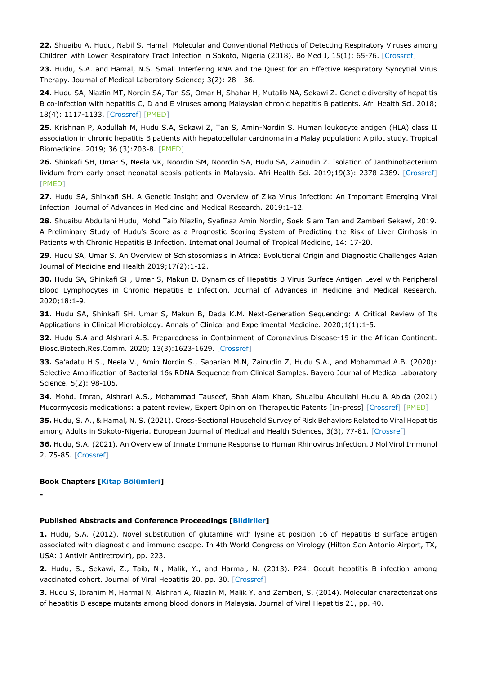**22.** Shuaibu A. Hudu, Nabil S. Hamal. Molecular and Conventional Methods of Detecting Respiratory Viruses among Children with Lower Respiratory Tract Infection in Sokoto, Nigeria (2018). Bo Med J, 15(1): 65-76. [\[Crossref\]](https://doi.org/10.31173/bomj.bomj_96_15)

**23.** Hudu, S.A. and Hamal, N.S. Small Interfering RNA and the Quest for an Effective Respiratory Syncytial Virus Therapy. Journal of Medical Laboratory Science; 3(2): 28 - 36.

**24.** Hudu SA, Niazlin MT, Nordin SA, Tan SS, Omar H, Shahar H, Mutalib NA, Sekawi Z. Genetic diversity of hepatitis B co-infection with hepatitis C, D and E viruses among Malaysian chronic hepatitis B patients. Afri Health Sci. 2018; 18(4): 1117-1133. [\[Crossref\]](https://doi.org/10.4314/ahs.v18i4.33) [\[PMED\]](https://pubmed.ncbi.nlm.nih.gov/30766578/)

**25.** Krishnan P, Abdullah M, Hudu S.A, Sekawi Z, Tan S, Amin-Nordin S. Human leukocyte antigen (HLA) class II association in chronic hepatitis B patients with hepatocellular carcinoma in a Malay population: A pilot study. Tropical Biomedicine. 2019; 36 (3):703-8. [\[PMED\]](https://pubmed.ncbi.nlm.nih.gov/33597492/)

**26.** Shinkafi SH, Umar S, Neela VK, Noordin SM, Noordin SA, Hudu SA, Zainudin Z. Isolation of Janthinobacterium lividum from early onset neonatal sepsis patients in Malaysia. Afri Health Sci. 2019;19(3): 2378-2389. [\[Crossref\]](https://doi.org/10.4314/%20ahs.v19i3.11) [\[PMED\]](https://pubmed.ncbi.nlm.nih.gov/32127808/)

**27.** Hudu SA, Shinkafi SH. A Genetic Insight and Overview of Zika Virus Infection: An Important Emerging Viral Infection. Journal of Advances in Medicine and Medical Research. 2019:1-12.

**28.** Shuaibu Abdullahi Hudu, Mohd Taib Niazlin, Syafinaz Amin Nordin, Soek Siam Tan and Zamberi Sekawi, 2019. A Preliminary Study of Hudu's Score as a Prognostic Scoring System of Predicting the Risk of Liver Cirrhosis in Patients with Chronic Hepatitis B Infection. International Journal of Tropical Medicine, 14: 17-20.

**29.** Hudu SA, Umar S. An Overview of Schistosomiasis in Africa: Evolutional Origin and Diagnostic Challenges Asian Journal of Medicine and Health 2019;17(2):1-12.

**30.** Hudu SA, Shinkafi SH, Umar S, Makun B. Dynamics of Hepatitis B Virus Surface Antigen Level with Peripheral Blood Lymphocytes in Chronic Hepatitis B Infection. Journal of Advances in Medicine and Medical Research. 2020;18:1-9.

**31.** Hudu SA, Shinkafi SH, Umar S, Makun B, Dada K.M. Next-Generation Sequencing: A Critical Review of Its Applications in Clinical Microbiology. Annals of Clinical and Experimental Medicine. 2020;1(1):1-5.

**32.** Hudu S.A and Alshrari A.S. Preparedness in Containment of Coronavirus Disease-19 in the African Continent. Biosc.Biotech.Res.Comm. 2020; 13(3):1623-1629. [\[Crossref\]](https://doi.org/10.21786/bbrc/13.3/93)

**33.** Sa'adatu H.S., Neela V., Amin Nordin S., Sabariah M.N, Zainudin Z, Hudu S.A., and Mohammad A.B. (2020): Selective Amplification of Bacterial 16s RDNA Sequence from Clinical Samples. Bayero Journal of Medical Laboratory Science. 5(2): 98-105.

**34.** Mohd. Imran, Alshrari A.S., Mohammad Tauseef, Shah Alam Khan, Shuaibu Abdullahi Hudu & Abida (2021) Mucormycosis medications: a patent review, Expert Opinion on Therapeutic Patents [In-press] [\[Crossref\]](https://doi.org/10.1080/13543776.2021.1939308) [\[PMED\]](https://pubmed.ncbi.nlm.nih.gov/34082658/)

**35.** Hudu, S. A., & Hamal, N. S. (2021). Cross-Sectional Household Survey of Risk Behaviors Related to Viral Hepatitis among Adults in Sokoto-Nigeria. European Journal of Medical and Health Sciences, 3(3), 77-81. [\[Crossref\]](https://doi.org/10.24018/ejmed.2021.3.3.883)

**36.** Hudu, S.A. (2021). An Overview of Innate Immune Response to Human Rhinovirus Infection. J Mol Virol Immunol 2, 75-85. [\[Crossref\]](https://doi.org/10.46683/jmvi.2021.34)

#### **Book Chapters [Kitap Bölümleri]**

**-**

#### **Published Abstracts and Conference Proceedings [Bildiriler]**

**1.** Hudu, S.A. (2012). Novel substitution of glutamine with lysine at position 16 of Hepatitis B surface antigen associated with diagnostic and immune escape. In 4th World Congress on Virology (Hilton San Antonio Airport, TX, USA: J Antivir Antiretrovir), pp. 223.

**2.** Hudu, S., Sekawi, Z., Taib, N., Malik, Y., and Harmal, N. (2013). P24: Occult hepatitis B infection among vaccinated cohort. Journal of Viral Hepatitis 20, pp. 30. [\[Crossref\]](https://doi.org/10.1111/jvh.12166_23)

**3.** Hudu S, Ibrahim M, Harmal N, Alshrari A, Niazlin M, Malik Y, and Zamberi, S. (2014). Molecular characterizations of hepatitis B escape mutants among blood donors in Malaysia. Journal of Viral Hepatitis 21, pp. 40.